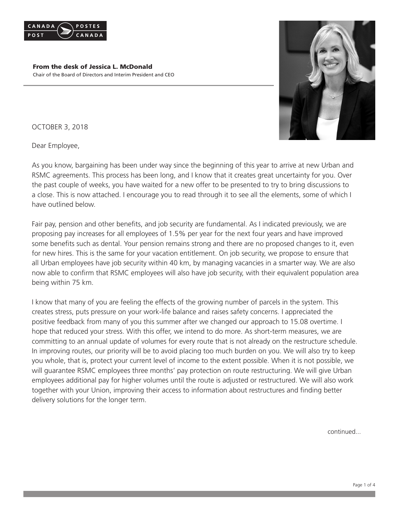

From the desk of Jessica L. McDonald Chair of the Board of Directors and Interim President and CEO



OCTOBER 3, 2018

Dear Employee,

As you know, bargaining has been under way since the beginning of this year to arrive at new Urban and RSMC agreements. This process has been long, and I know that it creates great uncertainty for you. Over the past couple of weeks, you have waited for a new offer to be presented to try to bring discussions to a close. This is now attached. I encourage you to read through it to see all the elements, some of which I have outlined below.

Fair pay, pension and other benefits, and job security are fundamental. As I indicated previously, we are proposing pay increases for all employees of 1.5% per year for the next four years and have improved some benefits such as dental. Your pension remains strong and there are no proposed changes to it, even for new hires. This is the same for your vacation entitlement. On job security, we propose to ensure that all Urban employees have job security within 40 km, by managing vacancies in a smarter way. We are also now able to confirm that RSMC employees will also have job security, with their equivalent population area being within 75 km.

I know that many of you are feeling the effects of the growing number of parcels in the system. This creates stress, puts pressure on your work-life balance and raises safety concerns. I appreciated the positive feedback from many of you this summer after we changed our approach to 15.08 overtime. I hope that reduced your stress. With this offer, we intend to do more. As short-term measures, we are committing to an annual update of volumes for every route that is not already on the restructure schedule. In improving routes, our priority will be to avoid placing too much burden on you. We will also try to keep you whole, that is, protect your current level of income to the extent possible. When it is not possible, we will guarantee RSMC employees three months' pay protection on route restructuring. We will give Urban employees additional pay for higher volumes until the route is adjusted or restructured. We will also work together with your Union, improving their access to information about restructures and finding better delivery solutions for the longer term.

continued...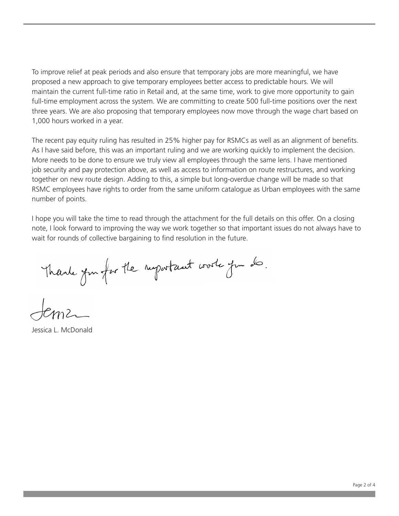To improve relief at peak periods and also ensure that temporary jobs are more meaningful, we have proposed a new approach to give temporary employees better access to predictable hours. We will maintain the current full-time ratio in Retail and, at the same time, work to give more opportunity to gain full-time employment across the system. We are committing to create 500 full-time positions over the next three years. We are also proposing that temporary employees now move through the wage chart based on 1,000 hours worked in a year.

The recent pay equity ruling has resulted in 25% higher pay for RSMCs as well as an alignment of benefits. As I have said before, this was an important ruling and we are working quickly to implement the decision. More needs to be done to ensure we truly view all employees through the same lens. I have mentioned job security and pay protection above, as well as access to information on route restructures, and working together on new route design. Adding to this, a simple but long-overdue change will be made so that RSMC employees have rights to order from the same uniform catalogue as Urban employees with the same number of points.

I hope you will take the time to read through the attachment for the full details on this offer. On a closing note, I look forward to improving the way we work together so that important issues do not always have to wait for rounds of collective bargaining to find resolution in the future.

Thank you for the supertant coorte you do.

Jessica L. McDonald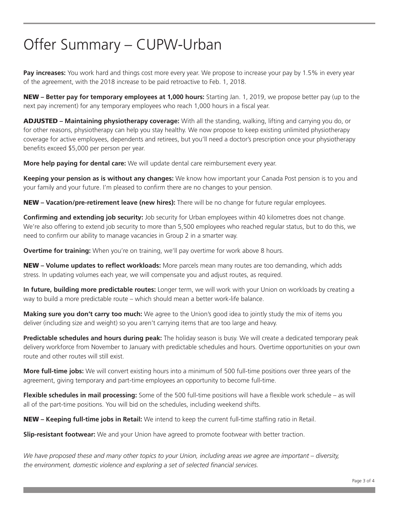## Offer Summary – CUPW-Urban

**Pay increases:** You work hard and things cost more every year. We propose to increase your pay by 1.5% in every year of the agreement, with the 2018 increase to be paid retroactive to Feb. 1, 2018.

NEW **– Better pay for temporary employees at 1,000 hours:** Starting Jan. 1, 2019, we propose better pay (up to the next pay increment) for any temporary employees who reach 1,000 hours in a fiscal year.

ADJUSTED **– Maintaining physiotherapy coverage:** With all the standing, walking, lifting and carrying you do, or for other reasons, physiotherapy can help you stay healthy. We now propose to keep existing unlimited physiotherapy coverage for active employees, dependents and retirees, but you'll need a doctor's prescription once your physiotherapy benefits exceed \$5,000 per person per year.

**More help paying for dental care:** We will update dental care reimbursement every year.

**Keeping your pension as is without any changes:** We know how important your Canada Post pension is to you and your family and your future. I'm pleased to confirm there are no changes to your pension.

NEW **– Vacation/pre-retirement leave (new hires):** There will be no change for future regular employees.

**Confirming and extending job security:** Job security for Urban employees within 40 kilometres does not change. We're also offering to extend job security to more than 5,500 employees who reached regular status, but to do this, we need to confirm our ability to manage vacancies in Group 2 in a smarter way.

**Overtime for training:** When you're on training, we'll pay overtime for work above 8 hours.

NEW **– Volume updates to reflect workloads:** More parcels mean many routes are too demanding, which adds stress. In updating volumes each year, we will compensate you and adjust routes, as required.

**In future, building more predictable routes:** Longer term, we will work with your Union on workloads by creating a way to build a more predictable route – which should mean a better work-life balance.

**Making sure you don't carry too much:** We agree to the Union's good idea to jointly study the mix of items you deliver (including size and weight) so you aren't carrying items that are too large and heavy.

**Predictable schedules and hours during peak:** The holiday season is busy. We will create a dedicated temporary peak delivery workforce from November to January with predictable schedules and hours. Overtime opportunities on your own route and other routes will still exist.

**More full-time jobs:** We will convert existing hours into a minimum of 500 full-time positions over three years of the agreement, giving temporary and part-time employees an opportunity to become full-time.

**Flexible schedules in mail processing:** Some of the 500 full-time positions will have a flexible work schedule – as will all of the part-time positions. You will bid on the schedules, including weekend shifts.

NEW **– Keeping full-time jobs in Retail:** We intend to keep the current full-time staffing ratio in Retail.

**Slip-resistant footwear:** We and your Union have agreed to promote footwear with better traction.

*We have proposed these and many other topics to your Union, including areas we agree are important – diversity, the environment, domestic violence and exploring a set of selected financial services.*